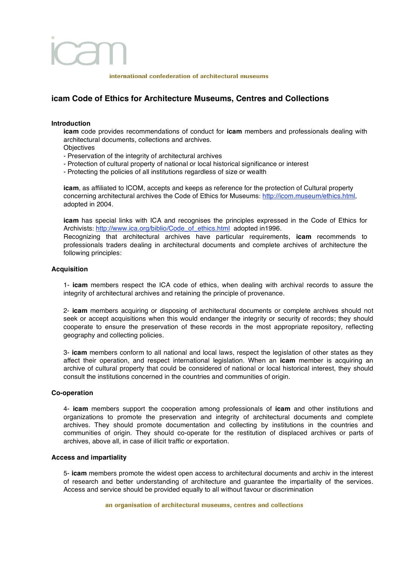# international confederation of architectural museums

# **icam Code of Ethics for Architecture Museums, Centres and Collections**

# **Introduction**

**icam** code provides recommendations of conduct for **icam** members and professionals dealing with architectural documents, collections and archives.

- **Objectives**
- Preservation of the integrity of architectural archives
- Protection of cultural property of national or local historical significance or interest
- Protecting the policies of all institutions regardless of size or wealth

**icam**, as affiliated to ICOM, accepts and keeps as reference for the protection of Cultural property concerning architectural archives the Code of Ethics for Museums: http://icom.museum/ethics.html, adopted in 2004.

**icam** has special links with ICA and recognises the principles expressed in the Code of Ethics for Archivists: http://www.ica.org/biblio/Code\_of\_ethics.html adopted in1996.

Recognizing that architectural archives have particular requirements, **icam** recommends to professionals traders dealing in architectural documents and complete archives of architecture the following principles:

# **Acquisition**

1- **icam** members respect the ICA code of ethics, when dealing with archival records to assure the integrity of architectural archives and retaining the principle of provenance.

2- **icam** members acquiring or disposing of architectural documents or complete archives should not seek or accept acquisitions when this would endanger the integrity or security of records; they should cooperate to ensure the preservation of these records in the most appropriate repository, reflecting geography and collecting policies.

3- **icam** members conform to all national and local laws, respect the legislation of other states as they affect their operation, and respect international legislation. When an **icam** member is acquiring an archive of cultural property that could be considered of national or local historical interest, they should consult the institutions concerned in the countries and communities of origin.

# **Co-operation**

4- **icam** members support the cooperation among professionals of **icam** and other institutions and organizations to promote the preservation and integrity of architectural documents and complete archives. They should promote documentation and collecting by institutions in the countries and communities of origin. They should co-operate for the restitution of displaced archives or parts of archives, above all, in case of illicit traffic or exportation.

# **Access and impartiality**

5- **icam** members promote the widest open access to architectural documents and archiv in the interest of research and better understanding of architecture and guarantee the impartiality of the services. Access and service should be provided equally to all without favour or discrimination

# an organisation of architectural museums, centres and collections